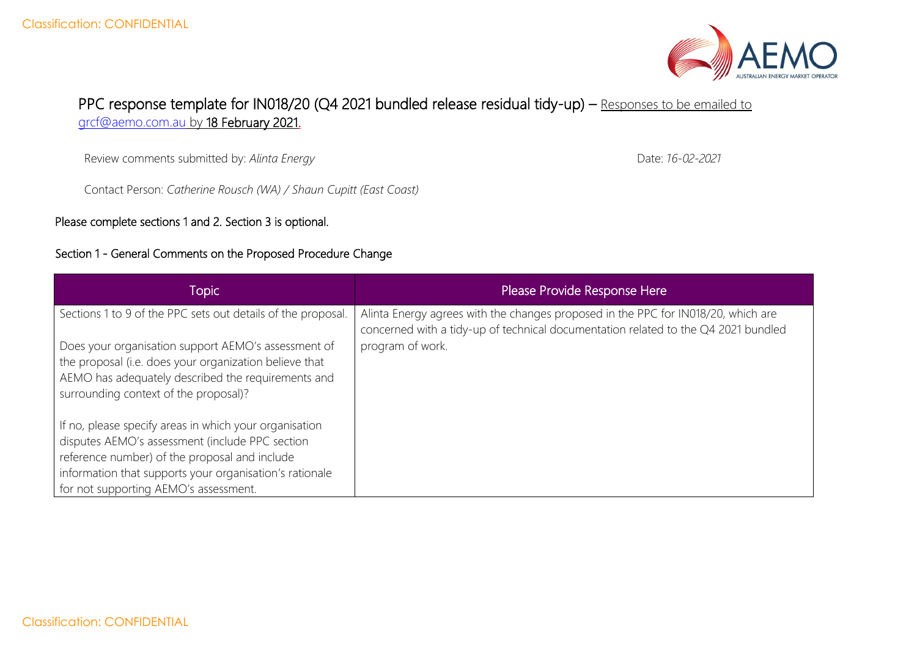

## PPC response template for IN018/20 (Q4 2021 bundled release residual tidy-up) – Responses to be emailed to [grcf@aemo.com.au](mailto:grcf@aemo.com.au) by 18 February 2021.

Review comments submitted by: *Alinta Energy*

Contact Person: *Catherine Rousch (WA) / Shaun Cupitt (East Coast)*

Please complete sections 1 and 2. Section 3 is optional.

## Section 1 - General Comments on the Proposed Procedure Change

Topic Please Provide Response Here Sections 1 to 9 of the PPC sets out details of the proposal. Does your organisation support AEMO's assessment of the proposal (i.e. does your organization believe that AEMO has adequately described the requirements and surrounding context of the proposal)? If no, please specify areas in which your organisation disputes AEMO's assessment (include PPC section reference number) of the proposal and include information that supports your organisation's rationale for not supporting AEMO's assessment. Alinta Energy agrees with the changes proposed in the PPC for IN018/20, which are concerned with a tidy-up of technical documentation related to the Q4 2021 bundled program of work.

Date: *16-02-2021*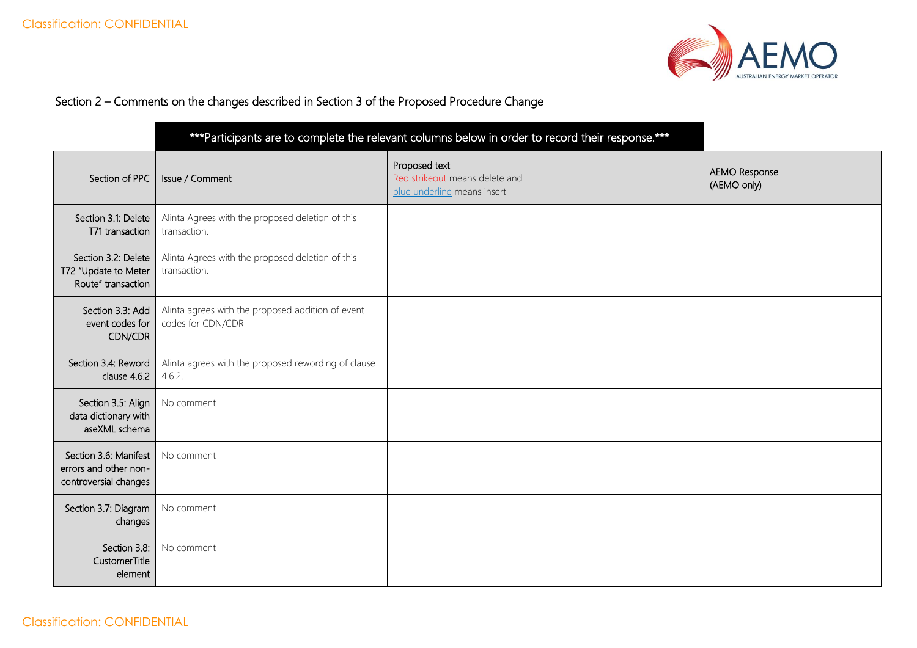

## Section 2 – Comments on the changes described in Section 3 of the Proposed Procedure Change

|                                                                         | *** Participants are to complete the relevant columns below in order to record their response.*** |                                                                                |                                     |
|-------------------------------------------------------------------------|---------------------------------------------------------------------------------------------------|--------------------------------------------------------------------------------|-------------------------------------|
| Section of PPC                                                          | Issue / Comment                                                                                   | Proposed text<br>Red strikeout means delete and<br>blue underline means insert | <b>AEMO Response</b><br>(AEMO only) |
| Section 3.1: Delete<br>T71 transaction                                  | Alinta Agrees with the proposed deletion of this<br>transaction.                                  |                                                                                |                                     |
| Section 3.2: Delete<br>T72 "Update to Meter<br>Route" transaction       | Alinta Agrees with the proposed deletion of this<br>transaction.                                  |                                                                                |                                     |
| Section 3.3: Add<br>event codes for<br>CDN/CDR                          | Alinta agrees with the proposed addition of event<br>codes for CDN/CDR                            |                                                                                |                                     |
| Section 3.4: Reword<br>clause 4.6.2                                     | Alinta agrees with the proposed rewording of clause<br>4.6.2.                                     |                                                                                |                                     |
| Section 3.5: Align<br>data dictionary with<br>aseXML schema             | No comment                                                                                        |                                                                                |                                     |
| Section 3.6: Manifest<br>errors and other non-<br>controversial changes | No comment                                                                                        |                                                                                |                                     |
| Section 3.7: Diagram<br>changes                                         | No comment                                                                                        |                                                                                |                                     |
| Section 3.8:<br>CustomerTitle<br>element                                | No comment                                                                                        |                                                                                |                                     |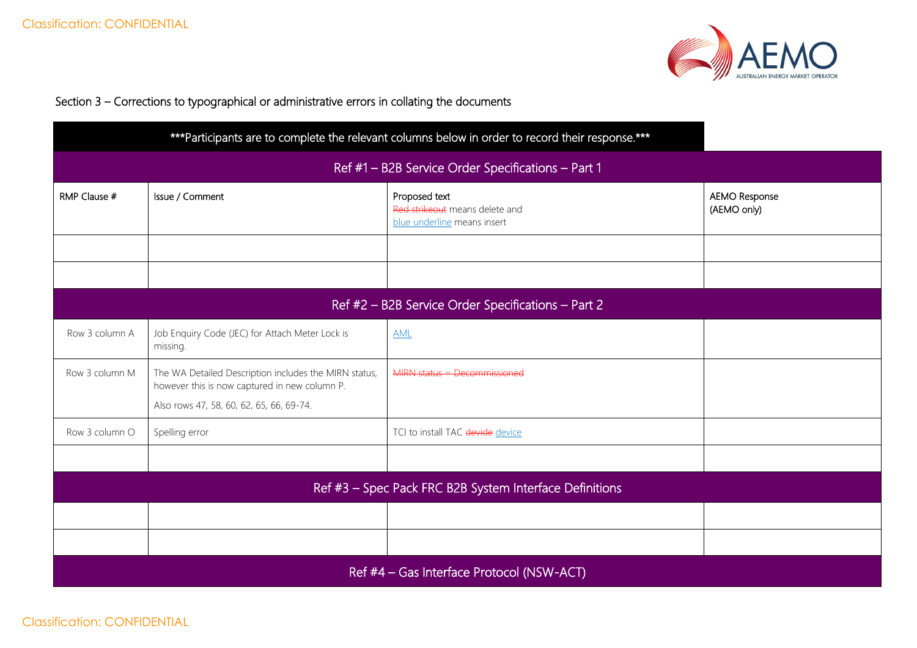

## Section 3 – Corrections to typographical or administrative errors in collating the documents

|                                                    |                                                                                                                                                    | *** Participants are to complete the relevant columns below in order to record their response.*** |                                     |  |
|----------------------------------------------------|----------------------------------------------------------------------------------------------------------------------------------------------------|---------------------------------------------------------------------------------------------------|-------------------------------------|--|
| Ref #1 - B2B Service Order Specifications - Part 1 |                                                                                                                                                    |                                                                                                   |                                     |  |
| RMP Clause #                                       | Issue / Comment                                                                                                                                    | Proposed text<br>Red strikeout means delete and<br>blue underline means insert                    | <b>AEMO Response</b><br>(AEMO only) |  |
|                                                    |                                                                                                                                                    |                                                                                                   |                                     |  |
|                                                    | Ref #2 - B2B Service Order Specifications - Part 2                                                                                                 |                                                                                                   |                                     |  |
| Row 3 column A                                     | Job Enquiry Code (JEC) for Attach Meter Lock is<br>missing.                                                                                        | <b>AML</b>                                                                                        |                                     |  |
| Row 3 column M                                     | The WA Detailed Description includes the MIRN status,<br>however this is now captured in new column P.<br>Also rows 47, 58, 60, 62, 65, 66, 69-74. | MIRN status = Decommissioned                                                                      |                                     |  |
| Row 3 column O                                     | Spelling error                                                                                                                                     | TCI to install TAC devide device                                                                  |                                     |  |
|                                                    |                                                                                                                                                    |                                                                                                   |                                     |  |
|                                                    |                                                                                                                                                    | Ref #3 - Spec Pack FRC B2B System Interface Definitions                                           |                                     |  |
|                                                    |                                                                                                                                                    |                                                                                                   |                                     |  |
|                                                    |                                                                                                                                                    |                                                                                                   |                                     |  |
| Ref #4 - Gas Interface Protocol (NSW-ACT)          |                                                                                                                                                    |                                                                                                   |                                     |  |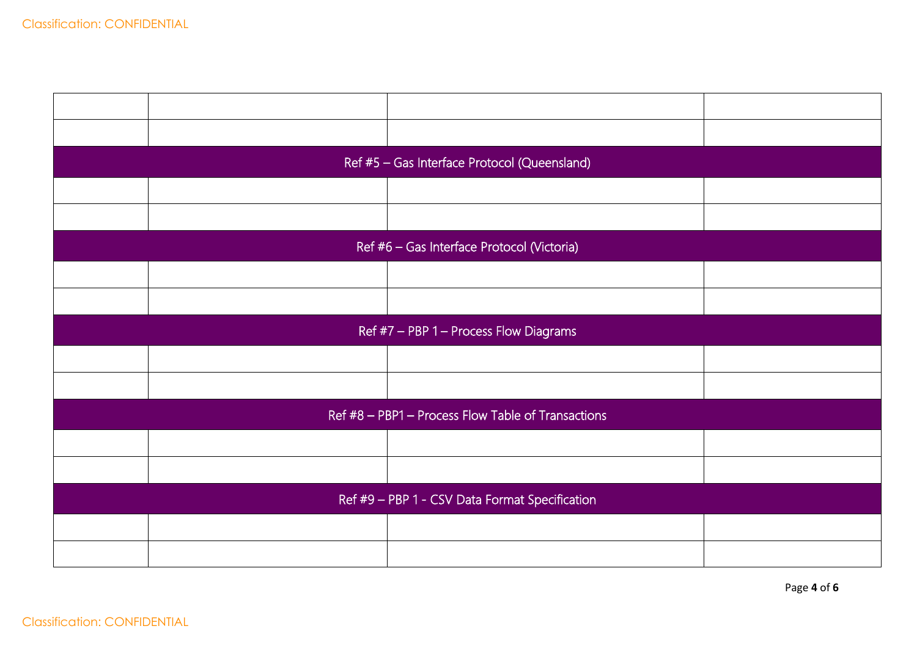|                                                    | Ref #5 - Gas Interface Protocol (Queensland) |  |  |  |
|----------------------------------------------------|----------------------------------------------|--|--|--|
|                                                    |                                              |  |  |  |
|                                                    |                                              |  |  |  |
|                                                    | Ref #6 - Gas Interface Protocol (Victoria)   |  |  |  |
|                                                    |                                              |  |  |  |
|                                                    |                                              |  |  |  |
| Ref #7 - PBP 1 - Process Flow Diagrams             |                                              |  |  |  |
|                                                    |                                              |  |  |  |
|                                                    |                                              |  |  |  |
| Ref #8 - PBP1 - Process Flow Table of Transactions |                                              |  |  |  |
|                                                    |                                              |  |  |  |
|                                                    |                                              |  |  |  |
| Ref #9 - PBP 1 - CSV Data Format Specification     |                                              |  |  |  |
|                                                    |                                              |  |  |  |
|                                                    |                                              |  |  |  |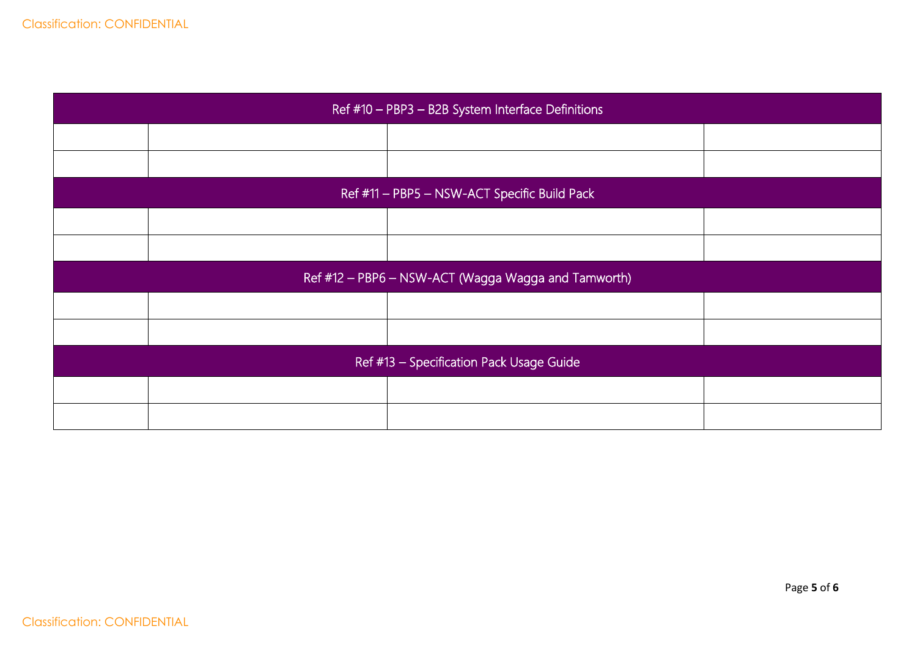| Ref #10 - PBP3 - B2B System Interface Definitions   |  |  |  |
|-----------------------------------------------------|--|--|--|
|                                                     |  |  |  |
|                                                     |  |  |  |
| Ref #11 - PBP5 - NSW-ACT Specific Build Pack        |  |  |  |
|                                                     |  |  |  |
|                                                     |  |  |  |
| Ref #12 - PBP6 - NSW-ACT (Wagga Wagga and Tamworth) |  |  |  |
|                                                     |  |  |  |
|                                                     |  |  |  |
| Ref #13 - Specification Pack Usage Guide            |  |  |  |
|                                                     |  |  |  |
|                                                     |  |  |  |